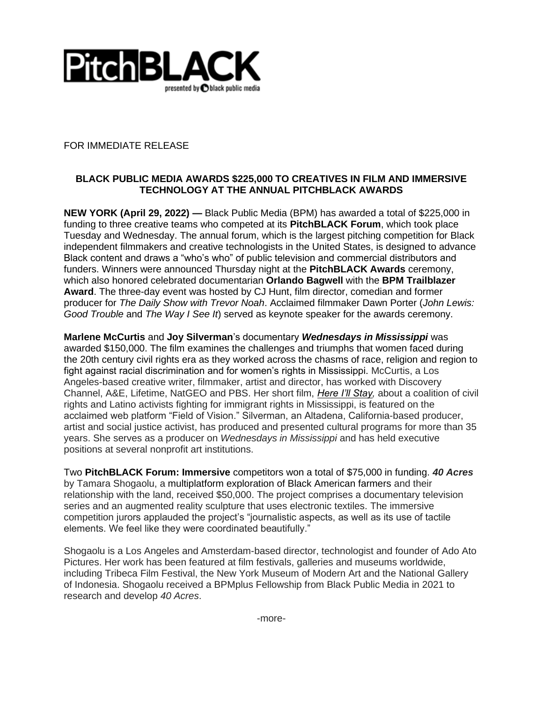

FOR IMMEDIATE RELEASE

## **BLACK PUBLIC MEDIA AWARDS \$225,000 TO CREATIVES IN FILM AND IMMERSIVE TECHNOLOGY AT THE ANNUAL PITCHBLACK AWARDS**

**NEW YORK (April 29, 2022) —** Black Public Media (BPM) has awarded a total of \$225,000 in funding to three creative teams who competed at its **PitchBLACK Forum**, which took place Tuesday and Wednesday. The annual forum, which is the largest pitching competition for Black independent filmmakers and creative technologists in the United States, is designed to advance Black content and draws a "who's who" of public television and commercial distributors and funders. Winners were announced Thursday night at the **PitchBLACK Awards** ceremony, which also honored celebrated documentarian **Orlando Bagwell** with the **BPM Trailblazer Award**. The three-day event was hosted by CJ Hunt, film director, comedian and former producer for *The Daily Show with Trevor Noah*. Acclaimed filmmaker Dawn Porter (*John Lewis: Good Trouble* and *The Way I See It*) served as keynote speaker for the awards ceremony.

**Marlene McCurtis** and **Joy Silverman**'s documentary *Wednesdays in Mississippi* was awarded \$150,000. The film examines the challenges and triumphs that women faced during the 20th century civil rights era as they worked across the chasms of race, religion and region to fight against racial discrimination and for women's rights in Mississippi. McCurtis, a Los Angeles-based creative writer, filmmaker, artist and director, has worked with Discovery Channel, A&E, Lifetime, NatGEO and PBS. Her short film, *[Here I'll Stay,](https://fieldofvision.org/here-i-ll-stay)* about a coalition of civil rights and Latino activists fighting for immigrant rights in Mississippi, is featured on the acclaimed web platform "Field of Vision." Silverman, an Altadena, California-based producer, artist and social justice activist, has produced and presented cultural programs for more than 35 years. She serves as a producer on *Wednesdays in Mississippi* and has held executive positions at several nonprofit art institutions.

Two **PitchBLACK Forum: Immersive** competitors won a total of \$75,000 in funding. *40 Acres* by Tamara Shogaolu, a multiplatform exploration of Black American farmers and their relationship with the land, received \$50,000. The project comprises a documentary television series and an augmented reality sculpture that uses electronic textiles. The immersive competition jurors applauded the project's "journalistic aspects, as well as its use of tactile elements. We feel like they were coordinated beautifully."

Shogaolu is a Los Angeles and Amsterdam-based director, technologist and founder of Ado Ato Pictures. Her work has been featured at film festivals, galleries and museums worldwide, including Tribeca Film Festival, the New York Museum of Modern Art and the National Gallery of Indonesia. Shogaolu received a BPMplus Fellowship from Black Public Media in 2021 to research and develop *40 Acres*.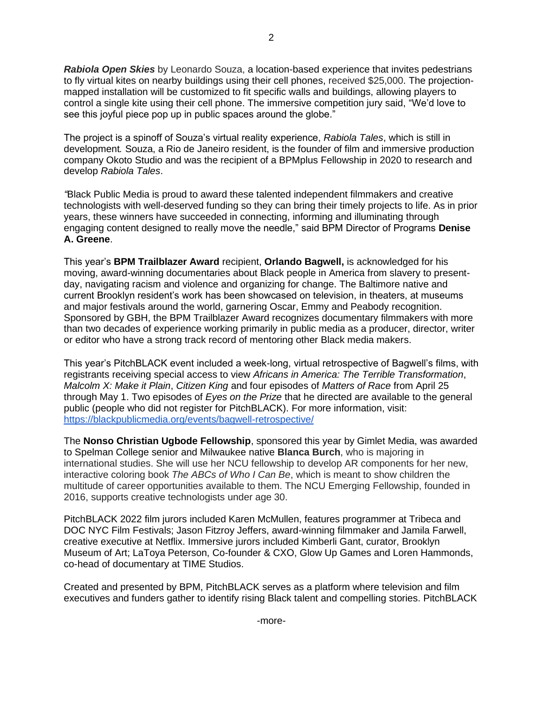*Rabiola Open Skies* by Leonardo Souza, a location-based experience that invites pedestrians to fly virtual kites on nearby buildings using their cell phones, received \$25,000. The projectionmapped installation will be customized to fit specific walls and buildings, allowing players to control a single kite using their cell phone. The immersive competition jury said, "We'd love to see this joyful piece pop up in public spaces around the globe."

The project is a spinoff of Souza's virtual reality experience, *Rabiola Tales*, which is still in development*.* Souza, a Rio de Janeiro resident, is the founder of film and immersive production company Okoto Studio and was the recipient of a BPMplus Fellowship in 2020 to research and develop *Rabiola Tales*.

*"*Black Public Media is proud to award these talented independent filmmakers and creative technologists with well-deserved funding so they can bring their timely projects to life. As in prior years, these winners have succeeded in connecting, informing and illuminating through engaging content designed to really move the needle," said BPM Director of Programs **Denise A. Greene**.

This year's **BPM Trailblazer Award** recipient, **Orlando Bagwell,** is acknowledged for his moving, award-winning documentaries about Black people in America from slavery to presentday, navigating racism and violence and organizing for change. The Baltimore native and current Brooklyn resident's work has been showcased on television, in theaters, at museums and major festivals around the world, garnering Oscar, Emmy and Peabody recognition. Sponsored by GBH, the BPM Trailblazer Award recognizes documentary filmmakers with more than two decades of experience working primarily in public media as a producer, director, writer or editor who have a strong track record of mentoring other Black media makers.

This year's PitchBLACK event included a week-long, virtual retrospective of Bagwell's films, with registrants receiving special access to view *Africans in America: The Terrible Transformation*, *Malcolm X: Make it Plain*, *Citizen King* and four episodes of *Matters of Race* from April 25 through May 1. Two episodes of *Eyes on the Prize* that he directed are available to the general public (people who did not register for PitchBLACK). For more information, visit[:](https://blackpublicmedia.org/events/bagwell-retrospective/) <https://blackpublicmedia.org/events/bagwell-retrospective/>

The **Nonso Christian Ugbode Fellowship**, sponsored this year by Gimlet Media, was awarded to Spelman College senior and Milwaukee native **Blanca Burch**, who is majoring in international studies. She will use her NCU fellowship to develop AR components for her new, interactive coloring book *The ABCs of Who I Can Be*, which is meant to show children the multitude of career opportunities available to them. The NCU Emerging Fellowship, founded in 2016, supports creative technologists under age 30.

PitchBLACK 2022 film jurors included Karen McMullen, features programmer at Tribeca and DOC NYC Film Festivals; Jason Fitzroy Jeffers, award-winning filmmaker and Jamila Farwell, creative executive at Netflix. Immersive jurors included Kimberli Gant, curator, Brooklyn Museum of Art; LaToya Peterson, Co-founder & CXO, Glow Up Games and Loren Hammonds, co-head of documentary at TIME Studios.

Created and presented by BPM, PitchBLACK serves as a platform where television and film executives and funders gather to identify rising Black talent and compelling stories. PitchBLACK